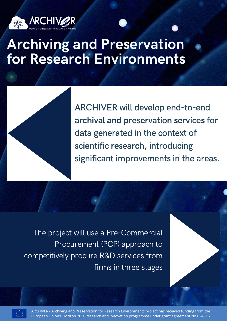

## Archiving and Preservation for Research Environments



ARCHIVER will develop end-to-end archival and preservation services for data generated in the context of scientific research, introducing significant improvements in the areas.

The project will use a Pre-Commercial Procurement (PCP) approach to competitively procure R&D services from firms in three stages

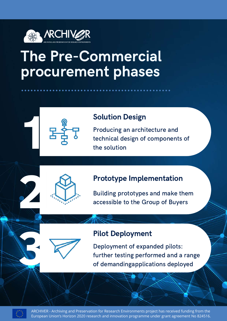

# The Pre-Commercial procurement phases



#### Solution Design

Producing an architecture and technical design of components of the solution

#### Prototype Implementation

Building prototypes and make them accessible to the Group of Buyers

#### Pilot Deployment

Deployment of expanded pilots: further testing performed and a range of demandingapplications deployed



**2** 

**3**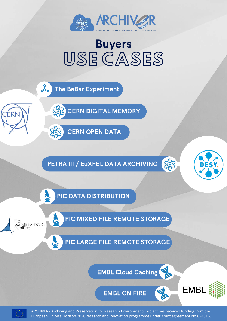

### USE CASES Buyers

ಹಿ The BaBar Experiment

CERN DIGITAL MEMORY



PETRA III / EuXFEL DATA ARCHIVING



**EMBL** 

家

PIC DATA DISTRIBUTION

**PIC** port d'informació científica

E

C.

CÉRN

PIC MIXED FILE REMOTE STORAGE

PIC LARGE FILE REMOTE STORAGE

EMBL Cloud Caching

EMBL ON FIRE